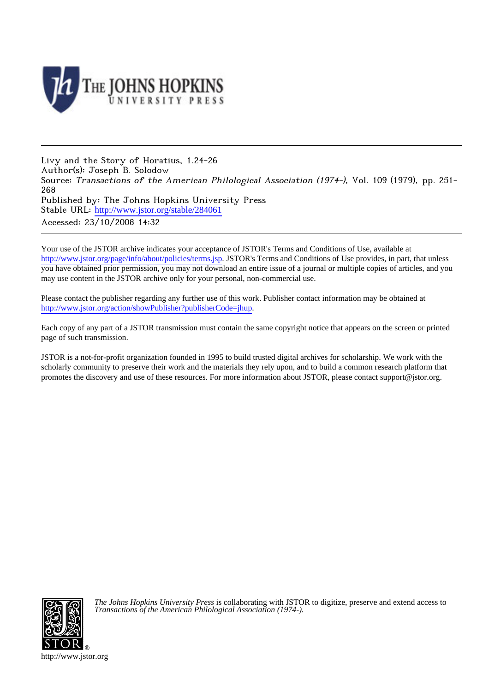

Livy and the Story of Horatius, 1.24-26 Author(s): Joseph B. Solodow Source: Transactions of the American Philological Association (1974-), Vol. 109 (1979), pp. 251- 268 Published by: The Johns Hopkins University Press Stable URL: [http://www.jstor.org/stable/284061](http://www.jstor.org/stable/284061?origin=JSTOR-pdf) Accessed: 23/10/2008 14:32

Your use of the JSTOR archive indicates your acceptance of JSTOR's Terms and Conditions of Use, available at <http://www.jstor.org/page/info/about/policies/terms.jsp>. JSTOR's Terms and Conditions of Use provides, in part, that unless you have obtained prior permission, you may not download an entire issue of a journal or multiple copies of articles, and you may use content in the JSTOR archive only for your personal, non-commercial use.

Please contact the publisher regarding any further use of this work. Publisher contact information may be obtained at [http://www.jstor.org/action/showPublisher?publisherCode=jhup.](http://www.jstor.org/action/showPublisher?publisherCode=jhup)

Each copy of any part of a JSTOR transmission must contain the same copyright notice that appears on the screen or printed page of such transmission.

JSTOR is a not-for-profit organization founded in 1995 to build trusted digital archives for scholarship. We work with the scholarly community to preserve their work and the materials they rely upon, and to build a common research platform that promotes the discovery and use of these resources. For more information about JSTOR, please contact support@jstor.org.



*The Johns Hopkins University Press* is collaborating with JSTOR to digitize, preserve and extend access to *Transactions of the American Philological Association (1974-).*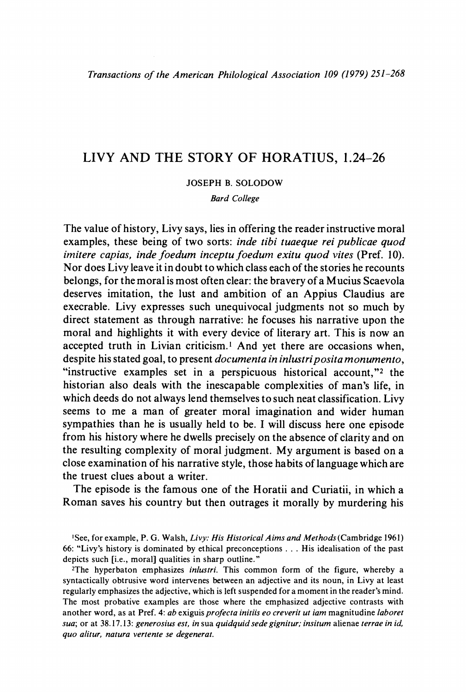## **LIVY AND THE STORY OF HORATIUS, 1.24-26**

**JOSEPH B. SOLODOW** 

**Bard College** 

**The value of history, Livy says, lies in offering the reader instructive moral examples, these being of two sorts: inde tibi tuaeque rei publicae quod imitere capias, inde foedum inceptu foedum exitu quod vites (Pref. 10). Nor does Livy leave it in doubt to which class each of the stories he recounts belongs, for the moral is most often clear: the bravery of a Mucius Scaevola deserves imitation, the lust and ambition of an Appius Claudius are execrable. Livy expresses such unequivocal judgments not so much by direct statement as through narrative: he focuses his narrative upon the moral and highlights it with every device of literary art. This is now an accepted truth in Livian criticism.' And yet there are occasions when, despite his stated goal, to present documenta in inlustriposita monumento, "instructive examples set in a perspicuous historical account,"2 the historian also deals with the inescapable complexities of man's life, in which deeds do not always lend themselves to such neat classification. Livy seems to me a man of greater moral imagination and wider human sympathies than he is usually held to be. I will discuss here one episode from his history where he dwells precisely on the absence of clarity and on the resulting complexity of moral judgment. My argument is based on a close examination of his narrative style, those habits of language which are the truest clues about a writer.** 

**The episode is the famous one of the Horatii and Curiatii, in which a Roman saves his country but then outrages it morally by murdering his** 

**'See, for example, P. G. Walsh, Livy: His Historical Aims and Methods(Cambridge 1961) 66: "Livy's history is dominated by ethical preconceptions ... His idealisation of the past depicts such [i.e., moral] qualities in sharp outline."** 

**2The hyperbaton emphasizes inlustri. This common form of the figure, whereby a syntactically obtrusive word intervenes between an adjective and its noun, in Livy at least regularly emphasizes the adjective, which is left suspended for a moment in the reader's mind. The most probative examples are those where the emphasized adjective contrasts with another word, as at Pref. 4: ab exiguis profecta initiis eo creverit ut iam magnitudine laboret sua; or at 38.17.13: generosius est, in sua quidquid sede gignitur; insitum alienae terrae in id, quo alitur, natura vertente se degenerat.**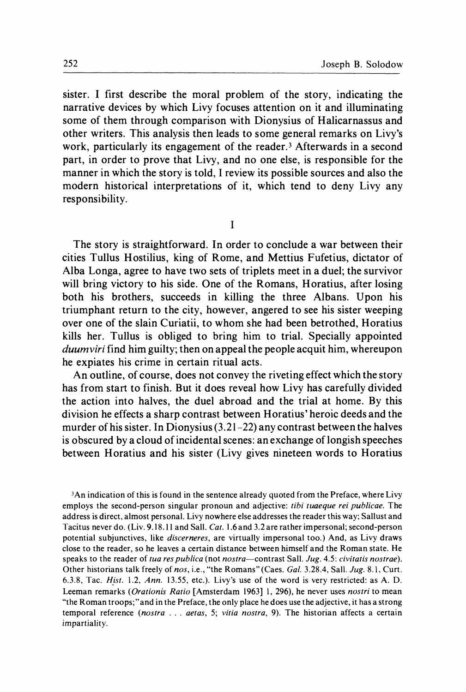**sister. I first describe the moral problem of the story, indicating the narrative devices by which Livy focuses attention on it and illuminating some of them through comparison with Dionysius of Halicarnassus and other writers. This analysis then leads to some general remarks on Livy's work, particularly its engagement of the reader.3 Afterwards in a second part, in order to prove that Livy, and no one else, is responsible for the manner in which the story is told, I review its possible sources and also the modern historical interpretations of it, which tend to deny Livy any responsibility.** 

**I** 

**The story is straightforward. In order to conclude a war between their cities Tullus Hostilius, king of Rome, and Mettius Fufetius, dictator of Alba Longa, agree to have two sets of triplets meet in a duel; the survivor will bring victory to his side. One of the Romans, Horatius, after losing both his brothers, succeeds in killing the three Albans. Upon his triumphant return to the city, however, angered to see his sister weeping over one of the slain Curiatii, to whom she had been betrothed, Horatius kills her. Tullus is obliged to bring him to trial. Specially appointed duumviri find him guilty; then on appeal the people acquit him, whereupon he expiates his crime in certain ritual acts.** 

**An outline, of course, does not convey the riveting effect which the story has from start to finish. But it does reveal how Livy has carefully divided the action into halves, the duel abroad and the trial at home. By this division he effects a sharp contrast between Horatius' heroic deeds and the murder of his sister. In Dionysius (3.21-22) any contrast between the halves is obscured by a cloud of incidental scenes: an exchange of longish speeches between Horatius and his sister (Livy gives nineteen words to Horatius** 

**3An indication of this is found in the sentence already quoted from the Preface, where Livy employs the second-person singular pronoun and adjective: tibi tuaeque rei publicae. The address is direct, almost personal. Livy nowhere else addresses the reader this way; Sallust and Tacitus never do. (Liv. 9.18.11 and Sail. Cat. 1.6 and 3.2 are rather impersonal; second-person potential subjunctives, like discerneres, are virtually impersonal too.) And, as Livy draws close to the reader, so he leaves a certain distance between himself and the Roman state. He**  speaks to the reader of tua res publica (not nostra-contrast Sall. Jug. 4.5: civitatis nostrae). **Other historians talk freely of nos, i.e., "the Romans" (Caes. Gal. 3.28.4, Sall. Jug. 8.1, Curt. 6.3.8, Tac. Hist. 1.2, Ann. 13.55, etc.). Livy's use of the word is very restricted: as A. D. Leeman remarks (Orationis Ratio [Amsterdam 1963] 1, 296), he never uses nostri to mean "the Roman troops;" and in the Preface, the only place he does use the adjective, it has a strong temporal reference (nostra . . . aetas, 5; vitia nostra, 9). The historian affects a certain impartiality.**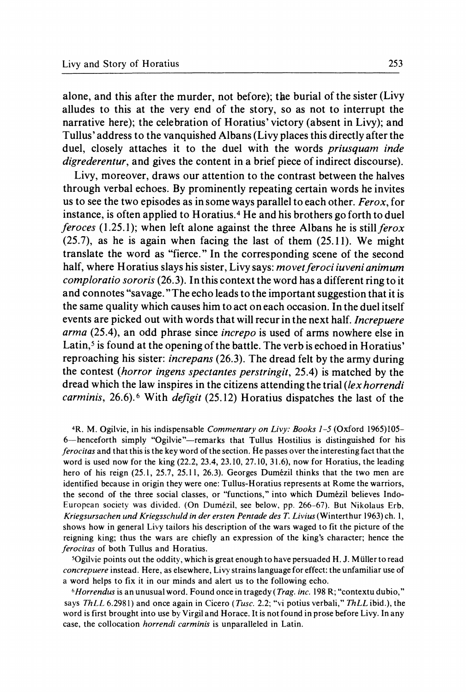**alone, and this after the murder, not before); the burial of the sister (Livy alludes to this at the very end of the story, so as not to interrupt the narrative here); the celebration of Horatius' victory (absent in Livy); and Tullus' address to the vanquished Albans (Livy places this directly after the duel, closely attaches it to the duel with the words priusquam inde digrederentur, and gives the content in a brief piece of indirect discourse).** 

**Livy, moreover, draws our attention to the contrast between the halves through verbal echoes. By prominently repeating certain words he invites us to see the two episodes as in some ways parallel to each other. Ferox, for instance, is often applied to Horatius.4 He and his brothers go forth to duel**  *feroces* (1.25.1); when left alone against the three Albans he is still *ferox* **(25.7), as he is again when facing the last of them (25.11). We might translate the word as "fierce." In the corresponding scene of the second**  half, where Horatius slays his sister, Livy says: movet feroci *iuveni animum* **comploratio sororis (26.3). In this context the word has a different ring to it and connotes "savage. "The echo leads to the important suggestion that it is the same quality which causes him to act on each occasion. In the duel itself events are picked out with words that will recur in the next half. Increpuere arma (25.4), an odd phrase since increpo is used of arms nowhere else in Latin,5 is found at the opening of the battle. The verb is echoed in Horatius' reproaching his sister: increpans (26.3). The dread felt by the army during the contest (horror ingens spectantes perstringit, 25.4) is matched by the dread which the law inspires in the citizens attending the trial (lex horrendi carminis, 26.6).6 With defigit (25.12) Horatius dispatches the last of the** 

**4R. M. Ogilvie, in his indispensable Commentary on Livy: Books 1-5 (Oxford 1965)105- 6-henceforth simply "Ogilvie"-remarks that Tullus Hostilius is distinguished for his ferocitas and that this is the key word of the section. He passes over the interesting fact that the word is used now for the king (22.2, 23.4, 23.10, 27.10, 31.6), now for Horatius, the leading**  hero of his reign (25.1, 25.7, 25.11, 26.3). Georges Dumézil thinks that the two men are **identified because in origin they were one: Tullus-Horatius represents at Rome the warriors, the second of the three social classes, or "functions," into which Dumezil believes Indo-European society was divided. (On Dumezil, see below, pp. 266-67). But Nikolaus Erb, Kriegsursachen und Kriegsschuld in der ersten Pentade des T. Livius (Winterthur 1963) ch. 1, shows how in general Livy tailors his description of the wars waged to fit the picture of the reigning king; thus the wars are chiefly an expression of the king's character; hence the ferocitas of both Tullus and Horatius.** 

**5Ogilvie points out the oddity, which is great enough to have persuaded H. J. Miiller to read concrepuere instead. Here, as elsewhere, Livy strains language for effect: the unfamiliar use of a word helps to fix it in our minds and alert us to the following echo.** 

**6Horrendus is an unusual word. Found once in tragedy (Trag. inc. 198 R; "contextu dubio," says ThLL 6.2981) and once again in Cicero (Tusc. 2.2; "vi potius verbali," ThLL ibid.), the word is first brought into use by Virgil and Horace. It is not found in prose before Livy. In any case, the collocation horrendi carminis is unparalleled in Latin.**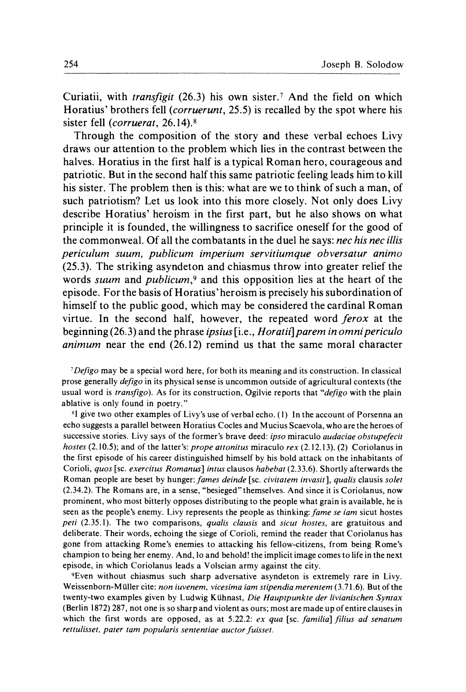**Curiatii, with transfigit (26.3) his own sister.7 And the field on which Horatius' brothers fell (corruerunt, 25.5) is recalled by the spot where his sister fell (corruerat, 26.14).8** 

**Through the composition of the story and these verbal echoes Livy draws our attention to. the problem which lies in the contrast between the halves. Horatius in the first half is a typical Roman hero, courageous and patriotic. But in the second half this same patriotic feeling leads him to kill his sister. The problem then is this: what are we to think of such a man, of such patriotism? Let us look into this more closely. Not only does Livy describe Horatius' heroism in the first part, but he also shows on what principle it is founded, the willingness to sacrifice oneself for the good of the commonweal. Of all the combatants in the duel he says: nec his nec illis periculum suum, publicum imperium servitiumque obversatur animo (25.3). The striking asyndeton and chiasmus throw into greater relief the**  words *suum* and *publicum*,<sup>9</sup> and this opposition lies at the heart of the **episode. For the basis of Horatius'heroism is precisely his subordination of himself to the public good, which may be considered the cardinal Roman virtue. In the second half, however, the repeated word ferox at the beginning (26.3) and the phrase ipsius [i.e., Horatil]parem in omnipericulo animum near the end (26.12) remind us that the same moral character** 

**7Defigo may be a special word here, for both its meaning and its construction. In classical prose generally defigo in its physical sense is uncommon outside of agricultural contexts (the usual word is transfigo). As for its construction, Ogilvie reports that "defigo with the plain ablative is only found in poetry."** 

**XI give two other examples of Livy's use of verbal echo. (1) In the account of Porsenna an echo suggests a parallel between Horatius Cocles and Mucius Scaevola, who are the heroes of successive stories. Livy says of the former's brave deed: ipso miraculo audaciae obstupefecit hostes (2.10.5); and of the latter's: prope attonitus miraculo rex (2.12.13). (2) Coriolanus in the first episode of his career distinguished himself by his bold attack on the inhabitants of Corioli, quos [sc. exercitus Romanus] intus clausos habebat (2.33.6). Shortly afterwards the Roman people are beset by hunger: fames deinde [sc. civitatem invasit], qualis clausis solet (2.34.2). The Romans are, in a sense, "besieged" themselves. And since it is Coriolanus, now prominent, who most bitterly opposes distributing to the people what grain is available, he is seen as the people's enemy. Livy represents the people as thinking: fame se iam sicut hostes peti (2.35.1). The two comparisons, qualis clausis and sicut hostes, are gratuitous and deliberate. Their words, echoing the siege of Corioli, remind the reader that Coriolanus has gone from attacking Rome's enemies to attacking his fellow-citizens, from being Rome's champion to being her enemy. And, lo and behold! the implicit image comes to life in the next episode, in which Coriolanus leads a Volscian army against the city.** 

**9Even without chiasmus such sharp adversative asyndeton is extremely rare in Livy.**  Weissenborn-Müller cite: non iuvenem, vicesima iam stipendia merentem (3.71.6). But of the **twenty-two examples given by Ludwig Kiihnast, Die Hauptpunkte der livianischen Syntax (Berlin 1872) 287, not one is so sharp and violent as ours; most are made up of entire clauses in which the first words are opposed, as at 5.22.2: ex qua [sc. familia] filius ad senatum rettulisset, pater tam popularis sententiae auctor fuisset.**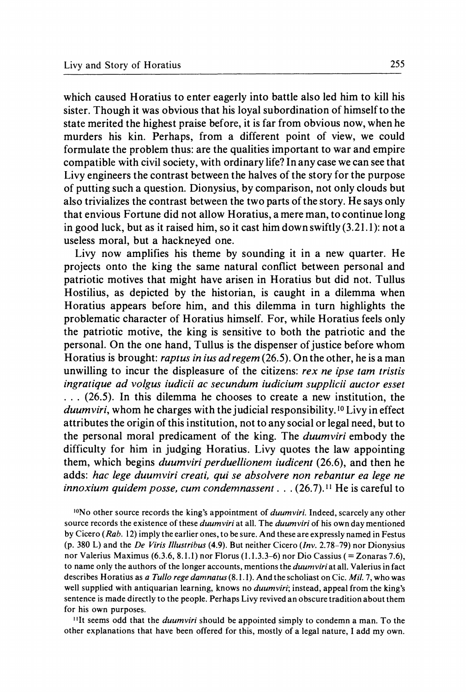**which caused Horatius to enter eagerly into battle also led him to kill his sister. Though it was obvious that his loyal subordination of himself to the state merited the highest praise before, it is far from obvious now, when he murders his kin. Perhaps, from a different point of view, we could formulate the problem thus: are the qualities important to war and empire compatible with civil society, with ordinary life? In any case we can see that Livy engineers the contrast between the halves of the story for the purpose of putting such a question. Dionysius, by comparison, not only clouds but also trivializes the contrast between the two parts of the story. He says only that envious Fortune did not allow Horatius, a mere man, to continue long in good luck, but as it raised him, so it cast him down swiftly (3.21.1): not a useless moral, but a hackneyed one.** 

**Livy now amplifies his theme by sounding it in a new quarter. He projects onto the king the same natural conflict between personal and patriotic motives that might have arisen in Horatius but did not. Tullus Hostilius, as depicted by the historian, is caught in a dilemma when Horatius appears before him, and this dilemma in turn highlights the problematic character of Horatius himself. For, while Horatius feels only the patriotic motive, the king is sensitive to both the patriotic and the personal. On the one hand, Tullus is the dispenser of justice before whom Horatius is brought: raptus in ius adregem (26.5). On the other, he is a man unwilling to incur the displeasure of the citizens: rex ne ipse tam tristis ingratique ad volgus iudicii ac secundum iudicium supplicii auctor esset ... (26.5). In this dilemma he chooses to create a new institution, the duumviri, whom he charges with the judicial responsibility.10 Livy in effect attributes the origin of this institution, not to any social or legal need, but to the personal moral predicament of the king. The duumviri embody the difficulty for him in judging Horatius. Livy quotes the law appointing them, which begins duumviri perduellionem iudicent (26.6), and then he adds: hac lege duumviri creati, qui se absolvere non rebantur ea lege ne innoxium quidem posse, cum condemnassent ... (26.7). <sup>1</sup>He is careful to** 

<sup>10</sup>No other source records the king's appointment of *duumviri*. Indeed, scarcely any other **source records the existence of these duumviri at all. The duumviri of his own day mentioned by Cicero (Rab. 12) imply the earlier ones, to be sure. And these are expressly named in Festus (p. 380 L) and the De Viris Illustribus (4.9). But neither Cicero (Inv. 2.78-79) nor Dionysius nor Valerius Maximus (6.3.6, 8.1.1) nor Florus (1.1.3.3-6) nor Dio Cassius ( = Zonaras 7.6), to name only the authors of the longer accounts, mentions the duumviri at all. Valerius in fact describes Horatius as a Tullo rege damnatus (8.1.1). And the scholiast on Cic. Mil. 7, who was**  well supplied with antiquarian learning, knows no *duumviri*; instead, appeal from the king's **sentence is made directly to the people. Perhaps Livy revived an obscure tradition about them for his own purposes.** 

**"It seems odd that the duumviri should be appointed simply to condemn a man. To the other explanations that have been offered for this, mostly of a legal nature, I add my own.**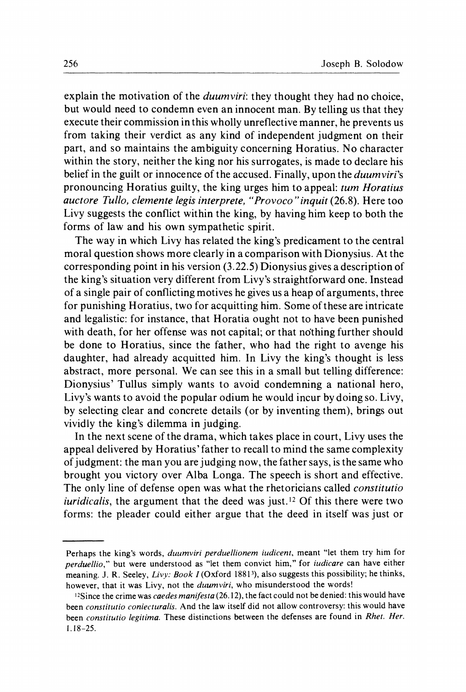**explain the motivation of the duumviri: they thought they had no choice, but would need to condemn even an innocent man. By telling us that they execute their commission in this wholly unreflective manner, he prevents us from taking their verdict as any kind of independent judgment on their part, and so maintains the ambiguity concerning Horatius. No character within the story, neither the king nor his surrogates, is made to declare his belief in the guilt or innocence of the accused. Finally, upon the duumviri's**  pronouncing Horatius guilty, the king urges him to appeal: tum Horatius **auctore Tullo, clemente legis interprete, "Provoco"inquit (26.8). Here too Livy suggests the conflict within the king, by having him keep to both the forms of law and his own sympathetic spirit.** 

**The way in which Livy has related the king's predicament to the central moral question shows more clearly in a comparison with Dionysius. At the corresponding point in his version (3.22.5) Dionysius gives a description of the king's situation very different from Livy's straightforward one. Instead of a single pair of conflicting motives he gives us a heap of arguments, three for punishing Horatius, two for acquitting him. Some of these are intricate and legalistic: for instance, that Horatia ought not to have been punished with death, for her offense was not capital; or that nothing further should be done to Horatius, since the father, who had the right to avenge his daughter, had already acquitted him. In Livy the king's thought is less abstract, more personal. We can see this in a small but telling difference: Dionysius' Tullus simply wants to avoid condemning a national hero, Livy's wants to avoid the popular odium he would incur by doing so. Livy, by selecting clear and concrete details (or by inventing them), brings out vividly the king's dilemma in judging.** 

**In the next scene of the drama, which takes place in court, Livy uses the appeal delivered by Horatius' father to recall to mind the same complexity of judgment: the man you are judging now, the father says, is the same who brought you victory over Alba Longa. The speech is short and effective. The only line of defense open was what the rhetoricians called constitutio iuridicalis, the argument that the deed was just.12 Of this there were two forms: the pleader could either argue that the deed in itself was just or** 

**Perhaps the king's words, duumviri perduellionem iudicent, meant "let them try him for perduellio," but were understood as "let them convict him," for iudicare can have either meaning. J. R. Seeley, Livy: Book I (Oxford 18813), also suggests this possibility; he thinks, however, that it was Livy, not the duumviri, who misunderstood the words!** 

**<sup>12</sup>Since the crime was caedes manifesta (26.12), the fact could not be denied: this would have been constitutio coniecturalis. And the law itself did not allow controversy: this would have been constitutio legitima. These distinctions between the defenses are found in Rhet. Her. 1.18-25.**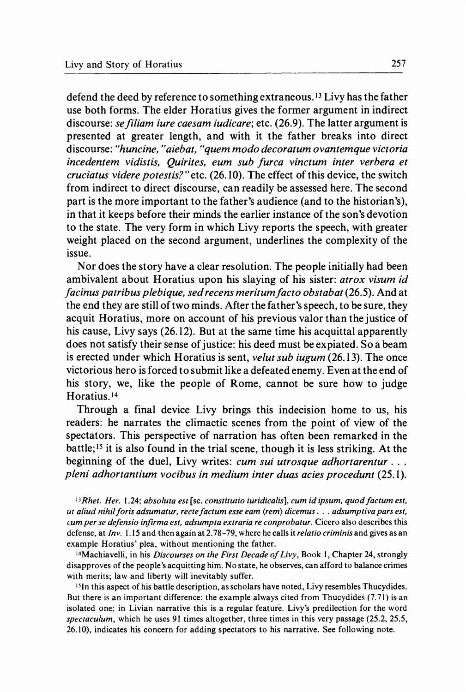**defend the deed by reference to something extraneous.13 Livy has the father use both forms. The elder Horatius gives the former argument in indirect discourse: sefiliam iure caesam iudicare; etc. (26.9). The latter argument is presented at greater length, and with it the father breaks into direct discourse: "huncine, "aiebat, "quem modo decoratum ovantemque victoria incedentem vidistis, Quirites, eum sub furca vinctum inter verbera et cruciatus videre potestis?" etc. (26.10). The effect of this device, the switch from indirect to direct discourse, can readily be assessed here. The second part is the more important to the father's audience (and to the historian's), in that it keeps before their minds the earlier instance of the son's devotion to the state. The very form in which Livy reports the speech, with greater weight placed on the second argument, underlines the complexity of the issue.** 

**Nor does the story have a clear resolution. The people initially had been ambivalent about Horatius upon his slaying of his sister: atrox visum id facinus patribus plebique, sed recens meritumfacto obstabat (26.5). And at the end they are still of two minds. After the father's speech, to be sure, they acquit Horatius, more on account of his previous valor than the justice of his cause, Livy says (26.12). But at the same time his acquittal apparently does not satisfy their sense of justice: his deed must be expiated. So a beam is erected under which Horatius is sent, velut sub iugum (26.13). The once victorious hero is forced to submit like a defeated enemy. Even at the end of his story, we, like the people of Rome, cannot be sure how to judge Horatius.14** 

**Through a final device Livy brings this indecision home to us, his readers: he narrates the climactic scenes from the point of view of the spectators. This perspective of narration has often been remarked in the battle;'5 it is also found in the trial scene, though it is less striking. At the beginning of the duel, Livy writes: cum sui utrosque adhortarentur ... pleni adhortantium vocibus in medium inter duas acies procedunt (25.1).** 

<sup>13</sup> Rhet. Her. 1.24: absoluta est [sc. constitutio iuridicalis], cum id ipsum, quod factum est, **ut aliud nihilforis adsumatur, rectefactum esse earn (rem) dicemus ... adsumptiva pars est, cum per se defensio infirma est, adsumpta extraria re conprobatur. Cicero also describes this defense, at Inv. 1.15 and then again at 2.78-79, where he calls it relatio criminis and gives as an example Horatius' plea, without mentioning the father.** 

**'4Machiavelli, in his Discourses on the First Decade of Livy, Book 1, Chapter 24, strongly disapproves of the people's acquitting him. No state, he observes, can afford to balance crimes with merits; law and liberty will inevitably suffer.** 

**'5In this aspect of his battle description, as scholars have noted, Livy resembles Thucydides. But there is an important difference: the example always cited from Thucydides (7.71) is an isolated one; in Livian narrative this is a regular feature. Livy's predilection for the word spectaculum, which he uses 91 times altogether, three times in this very passage (25.2, 25.5, 26.10), indicates his concern for adding spectators to his narrative. See following note.**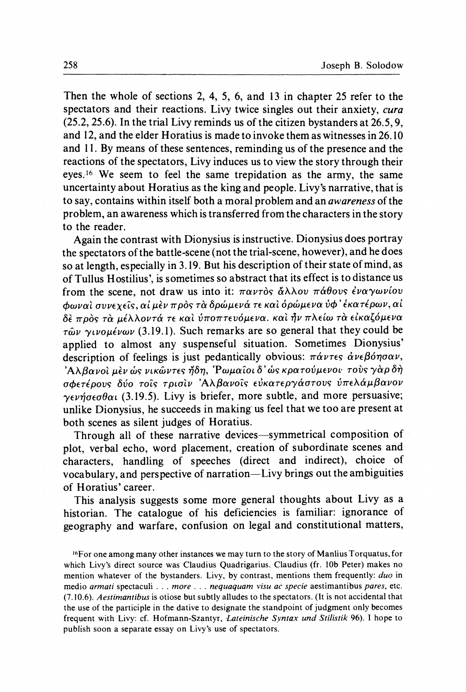**Then the whole of sections 2, 4, 5, 6, and 13 in chapter 25 refer to the spectators and their reactions. Livy twice singles out their anxiety, cura (25.2, 25.6). In the trial Livy reminds us of the citizen bystanders at 26.5, 9, and 12, and the elder Horatius is made to invoke them as witnesses in 26.10 and 11. By means of these sentences, reminding us of the presence and the reactions of the spectators, Livy induces us to view the story through their eyes.16 We seem to feel the same trepidation as the army, the same uncertainty about Horatius as the king and people. Livy's narrative, that is to say, contains within itself both a moral problem and an awareness of the problem, an awareness which is transferred from the characters in the story to the reader.** 

**Again the contrast with Dionysius is instructive. Dionysius does portray the spectators of the battle-scene (not the trial-scene, however), and he does so at length, especially in 3.19. But his description of their state of mind, as of Tullus Hostilius', is sometimes so abstract that its effect is to distance us from the scene, not draw us into it:** παντὸς ἄλλου πάθους ἐναγωνίου **(owvai avvEXeLs, al iJLuv 7rpo; Tr 6pbpcL4eva' re Kat 6p&jbiEva V( )' KaTrcEpcu, at**   $\delta$ έ πρòς τὰ μέλλοντά τε καὶ ύποπτευόμενα. καὶ ήν πλείω τὰ εἰκαζόμενα  $\tau \hat{\omega} \nu \gamma \nu \omega \mu \epsilon \nu \omega \nu$  (3.19.1). Such remarks are so general that they could be **applied to almost any suspenseful situation. Sometimes Dionysius'**  description of feelings is just pedantically obvious:  $\pi \alpha \nu \tau \epsilon s \alpha \nu \epsilon \beta \omega \eta \sigma \alpha \nu$ , 'Aλβανοὶ μὲν ώς νικῶντες ἤδη, 'Pωμαῖοι δ' ώς κρατούμενοι· τοὺς γὰρ δὴ **a0(erEpov9 6Vo 7ols0 ptaLv 'AAXfavoZl clKaTEpyaoTOVg v7reA'pd/.lfavov**   $\gamma \epsilon \nu \eta \sigma \epsilon \sigma \theta \alpha t$  (3.19.5). Livy is briefer, more subtle, and more persuasive; **unlike Dionysius, he succeeds in making us feel that we too are present at both scenes as silent judges of Horatius.** 

**Through all of these narrative devices-symmetrical composition of plot, verbal echo, word placement, creation of subordinate scenes and characters, handling of speeches (direct and indirect), choice of vocabulary, and perspective of narration-Livy brings out the ambiguities of Horatius' career.** 

**This analysis suggests some more general thoughts about Livy as a historian. The catalogue of his deficiencies is familiar: ignorance of geography and warfare, confusion on legal and constitutional matters,** 

**<sup>&#</sup>x27;6For one among many other instances we may turn to the story of Manlius Torquatus, for which Livy's direct source was Claudius Quadrigarius. Claudius (fr. lOb Peter) makes no mention whatever of the bystanders. Livy, by contrast, mentions them frequently: duo in medio armati spectaculi . . . more ... nequaquam visu ac specie aestimantibus pares, etc. (7.10.6). Aestimantibus is otiose but subtly alludes to the spectators. (It is not accidental that the use of the participle in the dative to designate the standpoint of judgment only becomes frequent with Livy: cf. Hofmann-Szantyr, Lateinische Syntax und Stilistik 96). I hope to publish soon a separate essay on Livy's use of spectators.**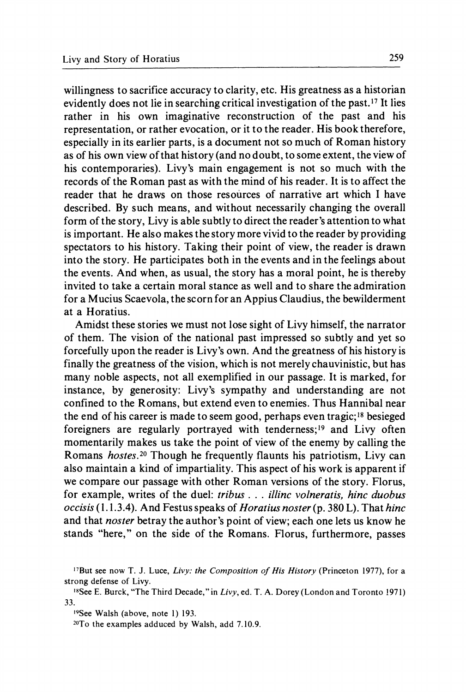**willingness to sacrifice accuracy to clarity, etc. His greatness as a historian evidently does not lie in searching critical investigation of the past.17 It lies rather in his own imaginative reconstruction of the past and his representation, or rather evocation, or it to the reader. His book therefore, especially in its earlier parts, is a document not so much of Roman history as of his own view of that history (and no doubt, to some extent, the view of his contemporaries). Livy's main engagement is not so much with the records of the Roman past as with the mind of his reader. It is to affect the reader that he draws on those resources of narrative art which I have described. By such means, and without necessarily changing the overall form of the story, Livy is able subtly to direct the reader's attention to what is important. He also makes the story more vivid to the reader by providing spectators to his history. Taking their point of view, the reader is drawn into the story. He participates both in the events and in the feelings about the events. And when, as usual, the story has a moral point, he is thereby invited to take a certain moral stance as well and to share the admiration for a Mucius Scaevola, the scorn for an Appius Claudius, the bewilderment at a Horatius.** 

**Amidst these stories we must not lose sight of Livy himself, the narrator of them. The vision of the national past impressed so subtly and yet so forcefully upon the reader is Livy's own. And the greatness of his history is finally the greatness of the vision, which is not merely chauvinistic, but has many noble aspects, not all exemplified in our passage. It is marked, for instance, by generosity: Livy's sympathy and understanding are not confined to the Romans, but extend even to enemies. Thus Hannibal near the end of his career is made to seem good, perhaps even tragic;'8 besieged foreigners are regularly portrayed with tenderness;19 and Livy often momentarily makes us take the point of view of the enemy by calling the Romans hostes.20 Though he frequently flaunts his patriotism, Livy can also maintain a kind of impartiality. This aspect of his work is apparent if we compare our passage with other Roman versions of the story. Florus, for example, writes of the duel: tribus . . . illinc volneratis, hinc duobus occisis (1.1.3.4). And Festus speaks of Horatius noster (p. 380 L). That hinc and that noster betray the author's point of view; each one lets us know he stands "here," on the side of the Romans. Florus, furthermore, passes** 

**<sup>&#</sup>x27;7But see now T. J. Luce, Livy: the Composition of His History (Princeton 1977), for a strong defense of Livy.** 

**<sup>&#</sup>x27;8See E. Burck, "The Third Decade," in Livy, ed. T. A. Dorey (London and Toronto 1971) 33.** 

**<sup>&#</sup>x27;9See Walsh (above, note 1) 193.** 

**<sup>20</sup>To the examples adduced by Walsh, add 7.10.9.**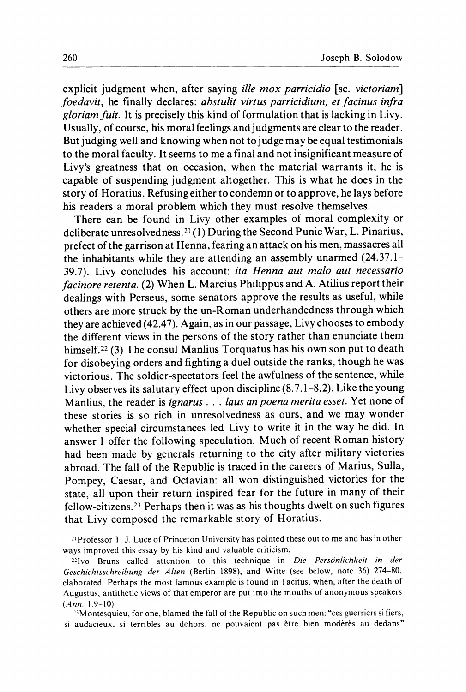**explicit judgment when, after saying ille mox parricidio [sc. victoriam] foedavit, he finally declares: abstulit virtus parricidium, et facinus infra gloriam fuit. It is precisely this kind of formulation that is lacking in Livy. Usually, of course, his moral feelings and judgments are clear to the reader. But judging well and knowing when not to judge may be equal testimonials to the moral faculty. It seems to me a final and not insignificant measure of Livy's greatness that on occasion, when the material warrants it, he is capable of suspending judgment altogether. This is what he does in the story of Horatius. Refusing either to condemn or to approve, he lays before his readers a moral problem which they must resolve themselves.** 

**There can be found in Livy other examples of moral complexity or deliberate unresolvedness.21 (1) During the Second Punic War, L. Pinarius, prefect of the garrison at Henna, fearing an attack on his men, massacres all the inhabitants while they are attending an assembly unarmed (24.37.1- 39.7). Livy concludes his account: ita Henna aut malo aut necessario facinore retenta. (2) When L. Marcius Philippus and A. Atilius report their dealings with Perseus, some senators approve the results as useful, while others are more struck by the un-Roman underhandedness through which they are achieved (42.47). Again, as in our passage, Livy chooses to embody the different views in the persons of the story rather than enunciate them himself.22 (3) The consul Manlius Torquatus has his own son put to death for disobeying orders and fighting a duel outside the ranks, though he was victorious. The soldier-spectators feel the awfulness of the sentence, while Livy observes its salutary effect upon discipline (8.7.1-8.2). Like the young Manlius, the reader is ignarus ... laus an poena merita esset. Yet none of these stories is so rich in unresolvedness as ours, and we may wonder whether special circumstances led Livy to write it in the way he did. In answer I offer the following speculation. Much of recent Roman history had been made by generals returning to the city after military victories abroad. The fall of the Republic is traced in the careers of Marius, Sulla, Pompey, Caesar, and Octavian: all won distinguished victories for the state, all upon their return inspired fear for the future in many of their fellow-citizens.23 Perhaps then it was as his thoughts dwelt on such figures that Livy composed the remarkable story of Horatius.** 

**<sup>2</sup>Professor T. J. Luce of Princeton University has pointed these out to me and has in other ways improved this essay by his kind and valuable criticism.** 

**22Ivo Bruns called attention to this technique in Die Personlichkeit in der Geschichtsschreibung der Alten (Berlin 1898), and Witte (see below, note 36) 274-80, elaborated. Perhaps the most famous example is found in Tacitus, when, after the death of Augustus, antithetic views of that emperor are put into the mouths of anonymous speakers (Ann. 1.9-10).** 

**23Montesquieu, for one, blamed the fall of the Republic on such men: "ces guerriers si fiers, si audacieux, si terribles au dehors, ne pouvaient pas etre bien moderes au dedans"**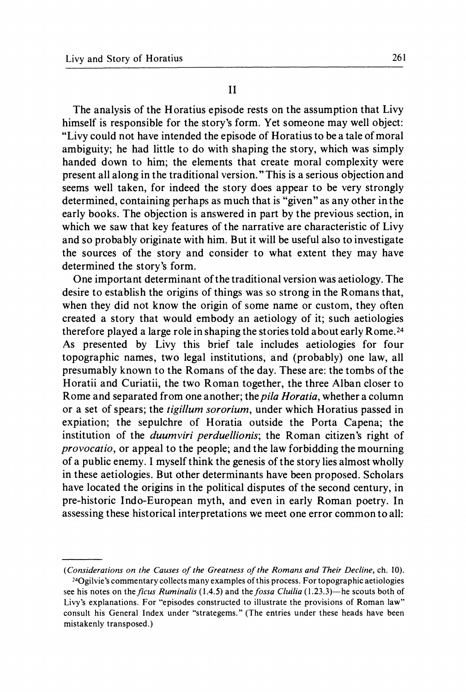**The analysis of the Horatius episode rests on the assumption that Livy himself is responsible for the story's form. Yet someone may well object: "Livy could not have intended the episode of Horatius to be a tale of moral ambiguity; he had little to do with shaping the story, which was simply handed down to him; the elements that create moral complexity were present all along in the traditional version." This is a serious objection and seems well taken, for indeed the story does appear to be very strongly determined, containing perhaps as much that is "given" as any other in the early books. The objection is answered in part by the previous section, in which we saw that key features of the narrative are characteristic of Livy and so probably originate with him. But it will be useful also to investigate the sources of the story and consider to what extent they may have determined the story's form.** 

**One important determinant of the traditional version was aetiology. The desire to establish the origins of things was so strong in the Romans that, when they did not know the origin of some name or custom, they often created a story that would embody an aetiology of it; such aetiologies therefore played a large role in shaping the stories told about early Rome.24 As presented by Livy this brief tale includes aetiologies for four topographic names, two legal institutions, and (probably) one law, all presumably known to the Romans of the day. These are: the tombs of the Horatii and Curiatii, the two Roman together, the three Alban closer to**  Rome and separated from one another; the *pila Horatia*, whether a column **or a set of spears; the tigillum sororium, under which Horatius passed in expiation; the sepulchre of Horatia outside the Porta Capena; the institution of the duumviri perduellionis; the Roman citizen's right of provocatio, or appeal to the people; and the law forbidding the mourning of a public enemy. I myself think the genesis of the story lies almost wholly in these aetiologies. But other determinants have been proposed. Scholars have located the origins in the political disputes of the second century, in pre-historic Indo-European myth, and even in early Roman poetry. In assessing these historical interpretations we meet one error common to all:** 

**<sup>(</sup>Considerations on the Causes of the Greatness of the Romans and Their Decline, ch. 10).** 

**<sup>24</sup>Ogilvie's commentary collects many examples of this process. For topographic aetiologies**  see his notes on the ficus Ruminalis (1.4.5) and the fossa Cluilia (1.23.3)-he scouts both of **Livy's explanations. For "episodes constructed to illustrate the provisions of Roman law" consult his General Index under "strategems." (The entries under these heads have been mistakenly transposed.)**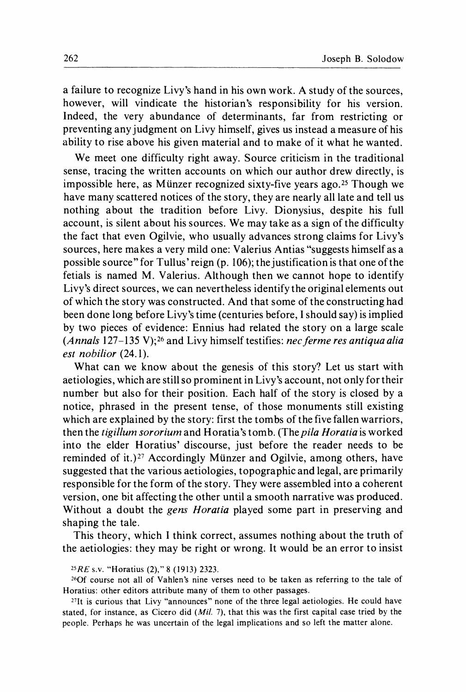**a failure to recognize Livy's hand in his own work. A study of the sources, however, will vindicate the historian's responsibility for his version. Indeed, the very abundance of determinants, far from restricting or preventing any judgment on Livy himself, gives us instead a measure of his ability to rise above his given material and to make of it what he wanted.** 

**We meet one difficulty right away. Source criticism in the traditional sense, tracing the written accounts on which our author drew directly, is impossible here, as Miinzer recognized sixty-five years ago.25 Though we have many scattered notices of the story, they are nearly all late and tell us nothing about the tradition before Livy. Dionysius, despite his full account, is silent about his sources. We may take as a sign of the difficulty the fact that even Ogilvie, who usually advances strong claims for Livy's sources, here makes a very mild one: Valerius Antias "suggests himself as a possible source" for Tullus' reign (p. 106); the justification is that one of the fetials is named M. Valerius. Although then we cannot hope to identify Livy's direct sources, we can nevertheless identify the original elements out of which the story was constructed. And that some of the constructing had been done long before Livy's time (centuries before, I should say) is implied by two pieces of evidence: Ennius had related the story on a large scale (Annals 127-135 V);26 and Livy himself testifies: necferme res antiqua alia est nobilior (24.1).** 

**What can we know about the genesis of this story? Let us start with aetiologies, which are still so prominent in Livy's account, not only for their number but also for their position. Each half of the story is closed by a notice, phrased in the present tense, of those monuments still existing which are explained by the story: first the tombs of the five fallen warriors,**  then the *tigillum sororium* and Horatia's tomb. (The *pila Horatia* is worked **into the elder Horatius' discourse, just before the reader needs to be reminded of it.)27 Accordingly Miinzer and Ogilvie, among others, have suggested that the various aetiologies, topographic and legal, are primarily responsible for the form of the story. They were assembled into a coherent version, one bit affecting the other until a smooth narrative was produced. Without a doubt the gens Horatia played some part in preserving and shaping the tale.** 

**This theory, which I think correct, assumes nothing about the truth of the aetiologies: they may be right or wrong. It would be an error to insist** 

**25RE s.v. "Horatius (2)," 8 (1913) 2323.** 

**260f course not all of Vahlen's nine verses need to be taken as referring to the tale of Horatius: other editors attribute many of them to other passages.** 

**27It is curious that Livy "announces" none of the three legal aetiologies. He could have stated, for instance, as Cicero did (Mil. 7), that this was the first capital case tried by the people. Perhaps he was uncertain of the legal implications and so left the matter alone.**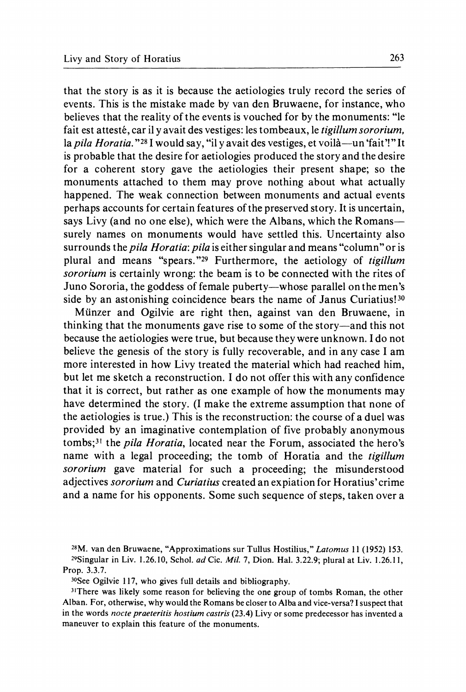**that the story is as it is because the aetiologies truly record the series of events. This is the mistake made by van den Bruwaene, for instance, who believes that the reality of the events is vouched for by the monuments: "le**  fait est attesté, car il y avait des vestiges: les tombeaux, le *tigillum sororium*, la pila Horatia."<sup>28</sup> I would say, "il y avait des vestiges, et voilà—un 'fait'!" It **is probable that the desire for aetiologies produced the story and the desire for a coherent story gave the aetiologies their present shape; so the monuments attached to them may prove nothing about what actually happened. The weak connection between monuments and actual events perhaps accounts for certain features of the preserved story. It is uncertain, says Livy (and no one else), which were the Albans, which the Romanssurely names on monuments would have settled this. Uncertainty also surrounds the pila Horatia: pila is either singular and means "column" or is plural and means "spears."29 Furthermore, the aetiology of tigillum sororium is certainly wrong: the beam is to be connected with the rites of**  Juno Sororia, the goddess of female puberty-whose parallel on the men's **side by an astonishing coincidence bears the name of Janus Curiatius!30** 

**Munzer and Ogilvie are right then, against van den Bruwaene, in thinking that the monuments gave rise to some of the story-and this not because the aetiologies were true, but because they were unknown. I do not believe the genesis of the story is fully recoverable, and in any case I am more interested in how Livy treated the material which had reached him, but let me sketch a reconstruction. I do not offer this with any confidence that it is correct, but rather as one example of how the monuments may have determined the story. (I make the extreme assumption that none of the aetiologies is true.) This is the reconstruction: the course of a duel was provided by an imaginative contemplation of five probably anonymous tombs;31 the pila Horatia, located near the Forum, associated the hero's name with a legal proceeding; the tomb of Horatia and the tigillum sororium gave material for such a proceeding; the misunderstood adjectives sororium and Curiatius created an expiation for Horatius'crime and a name for his opponents. Some such sequence of steps, taken over a** 

**30See Ogilvie 117, who gives full details and bibliography.** 

**31There was likely some reason for believing the one group of tombs Roman, the other Alban. For, otherwise, why would the Romans be closer to Alba and vice-versa? I suspect that in the words nocte praeteritis hostium castris (23.4) Livy or some predecessor has invented a maneuver to explain this feature of the monuments.** 

**<sup>28</sup>M. van den Bruwaene, "Approximations sur Tullus Hostilius," Latomus 11 (1952) 153. 29Singular in Liv. 1.26.10, Schol. ad Cic. Mil. 7, Dion. Hal. 3.22.9; plural at Liv. 1.26.11, Prop. 3.3.7.**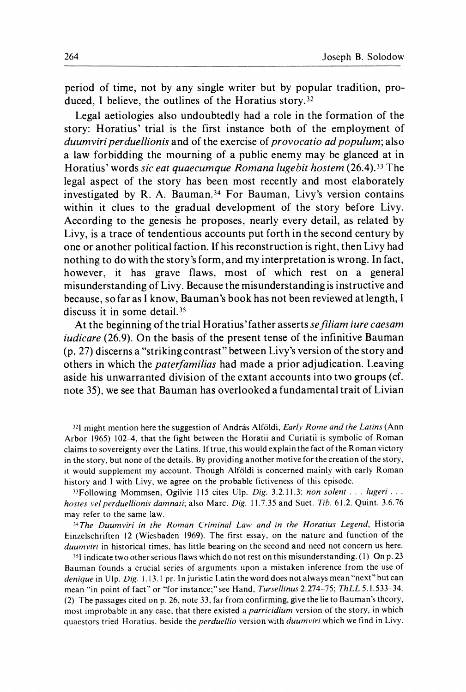**period of time, not by any single writer but by popular tradition, produced, I believe, the outlines of the Horatius story.32** 

**Legal aetiologies also undoubtedly had a role in the formation of the story: Horatius' trial is the first instance both of the employment of**  duumviri perduellionis and of the exercise of provocatio ad populum; also **a law forbidding the mourning of a public enemy may be glanced at in Horatius' words sic eat quaecumque Romana lugebit hostem (26.4).33 The legal aspect of the story has been most recently and most elaborately investigated by R. A. Bauman.34 For Bauman, Livy's version contains within it clues to the gradual development of the story before Livy. According to the genesis he proposes, nearly every detail, as related by Livy, is a trace of tendentious accounts put forth in the second century by one or another political faction. If his reconstruction is right, then Livy had nothing to do with the story's form, and my interpretation is wrong. In fact, however, it has grave flaws, most of which rest on a general misunderstanding of Livy. Because the misunderstanding is instructive and because, so far as I know, Bauman's book has not been reviewed at length, I discuss it in some detail.35** 

**At the beginning of the trial Horatius'father asserts sefiliam iure caesam iudicare (26.9). On the basis of the present tense of the infinitive Bauman (p. 27) discerns a "striking contrast" between Livy's version of the story and others in which the paterfamilias had made a prior adjudication. Leaving aside his unwarranted division of the extant accounts into two groups (cf. note 35), we see that Bauman has overlooked a fundamental trait of Livian** 

**<sup>321</sup>might mention here the suggestion of Andras Alfoldi, Early Rome and the Latins (Ann Arbor 1965) 102-4, that the fight between the Horatii and Curiatii is symbolic of Roman claims to sovereignty over the Latins. If true, this would explain the fact of the Roman victory in the story, but none of the details. By providing another motive for the creation of the story, it would supplement my account. Though Alfoldi is concerned mainly with early Roman history and I with Livy, we agree on the probable fictiveness of this episode.** 

**33Following Mommsen, Ogilvie 115 cites Ulp. Dig. 3.2.11.3: non solent ... lugeri .. . hostes velperduellionis damnati; also Marc. Dig. 11.7.35 and Suet. Tib. 61.2. Quint. 3.6.76 may refer to the same law.** 

**34The Duumviri in the Roman Criminal Law and in the Horatius Legend, Historia Einzelschriften 12 (Wiesbaden 1969). The first essay, on the nature and function of the duumviri in historical times, has little bearing on the second and need not concern us here.** 

**35I indicate two other serious flaws which do not rest on this misunderstanding. (1) On p. 23 Bauman founds a crucial series of arguments upon a mistaken inference from the use of denique in Ulp. Dig. 1.13.1 pr. Injuristic Latin the word does not always mean "next" but can mean "in point of fact" or "for instance;" see Hand, Tursellinus 2.274-75; ThLL 5.1.533-34. (2) The passages cited on p. 26, note 33, far from confirming, give the lie to Bauman's theory, most improbable in any case, that there existed a parricidium version of the story, in which quaestors tried Horatius. beside the perduellio version with duumviri which we find in Livy.**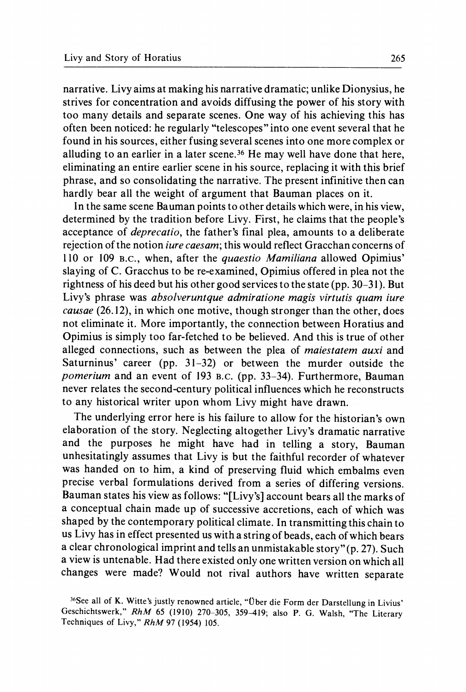**narrative. Livy aims at making his narrative dramatic; unlike Dionysius, he strives for concentration and avoids diffusing the power of his story with too many details and separate scenes. One way of his achieving this has often been noticed: he regularly "telescopes" into one event several that he found in his sources, either fusing several scenes into one more complex or alluding to an earlier in a later scene.36 He may well have done that here, eliminating an entire earlier scene in his source, replacing it with this brief phrase, and so consolidating the narrative. The present infinitive then can hardly bear all the weight of argument that Bauman places on it.** 

**In the same scene Bauman points to other details which were, in his view, determined by the tradition before Livy. First, he claims that the people's acceptance of deprecatio, the father's final plea, amounts to a deliberate rejection of the notion iure caesam; this would reflect Gracchan concerns of 110 or 109 B.C., when, after the quaestio Mamiliana allowed Opimius' slaying of C. Gracchus to be re-examined, Opimius offered in plea not the rightness of his deed but his other good services to the state (pp. 30-31). But Livy's phrase was absolveruntque admiratione magis virtutis quam iure causae (26.12), in which one motive, though stronger than the other, does not eliminate it. More importantly, the connection between Horatius and Opimius is simply too far-fetched to be believed. And this is true of other alleged connections, such as between the plea of maiestatem auxi and Saturninus' career (pp. 31-32) or between the murder outside the pomerium and an event of 193 B.C. (pp. 33-34). Furthermore, Bauman never relates the second-century political influences which he reconstructs to any historical writer upon whom Livy might have drawn.** 

**The underlying error here is his failure to allow for the historian's own elaboration of the story. Neglecting altogether Livy's dramatic narrative and the purposes he might have had in telling a story, Bauman unhesitatingly assumes that Livy is but the faithful recorder of whatever was handed on to him, a kind of preserving fluid which embalms even precise verbal formulations derived from a series of differing versions. Bauman states his view as follows: "[Livy's] account bears all the marks of a conceptual chain made up of successive accretions, each of which was shaped by the contemporary political climate. In transmitting this chain to us Livy has in effect presented us with a string of beads, each of which bears a clear chronological imprint and tells an unmistakable story" (p. 27). Such a view is untenable. Had there existed only one written version on which all changes were made? Would not rival authors have written separate** 

**<sup>36</sup>See all of K. Witte's justly renowned article, "Ober die Form der Darstellung in Livius' Geschichtswerk," RhM 65 (1910) 270-305, 359-419; also P. G. Walsh, "The Literary Techniques of Livy," RhM 97 (1954) 105.**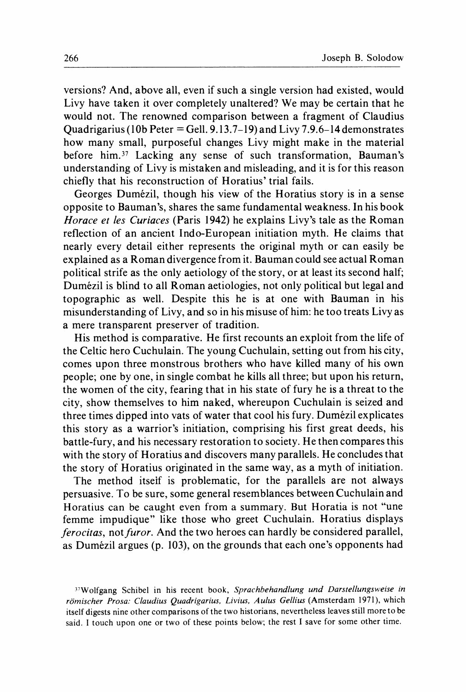**versions? And, above all, even if such a single version had existed, would Livy have taken it over completely unaltered? We may be certain that he would not. The renowned comparison between a fragment of Claudius Quadrigarius (10b Peter = Gell. 9.13.7-19) and Livy 7.9.6-14 demonstrates how many small, purposeful changes Livy might make in the material before him.37 Lacking any sense of such transformation, Bauman's understanding of Livy is mistaken and misleading, and it is for this reason chiefly that his reconstruction of Horatius' trial fails.** 

**Georges Dumezil, though his view of the Horatius story is in a sense opposite to Bauman's, shares the same fundamental weakness. In his book Horace et les Curiaces (Paris 1942) he explains Livy's tale as the Roman reflection of an ancient Indo-European initiation myth. He claims that nearly every detail either represents the original myth or can easily be explained as a Roman divergence from it. Bauman could see actual Roman political strife as the only aetiology of the story, or at least its second half; Dumezil is blind to all Roman aetiologies, not only political but legal and topographic as well. Despite this he is at one with Bauman in his misunderstanding of Livy, and so in his misuse of him: he too treats Livy as a mere transparent preserver of tradition.** 

**His method is comparative. He first recounts an exploit from the life of the Celtic hero Cuchulain. The young Cuchulain, setting out from his city, comes upon three monstrous brothers who have killed many of his own people; one by one, in single combat he kills all three; but upon his return, the women of the city, fearing that in his state of fury he is a threat to the city, show themselves to him naked, whereupon Cuchulain is seized and three times dipped into vats of water that cool his fury. Dumezil explicates this story as a warrior's initiation, comprising his first great deeds, his battle-fury, and his necessary restoration to society. He then compares this with the story of Horatius and discovers many parallels. He concludes that the story of Horatius originated in the same way, as a myth of initiation.** 

**The method itself is problematic, for the parallels are not always persuasive. To be sure, some general resemblances between Cuchulain and Horatius can be caught even from a summary. But Horatia is not "une femme impudique" like those who greet Cuchulain. Horatius displays**  ferocitas, not furor. And the two heroes can hardly be considered parallel, **as Dumezil argues (p. 103), on the grounds that each one's opponents had** 

**37Wolfgang Schibel in his recent book, Sprachbehandlung und Darstellungsweise in romischer Prosa: Claudius Quadrigarius, Livius, Aulus Gellius (Amsterdam 1971), which itself digests nine other comparisons of the two historians, nevertheless leaves still more to be said. I touch upon one or two of these points below; the rest I save for some other time.**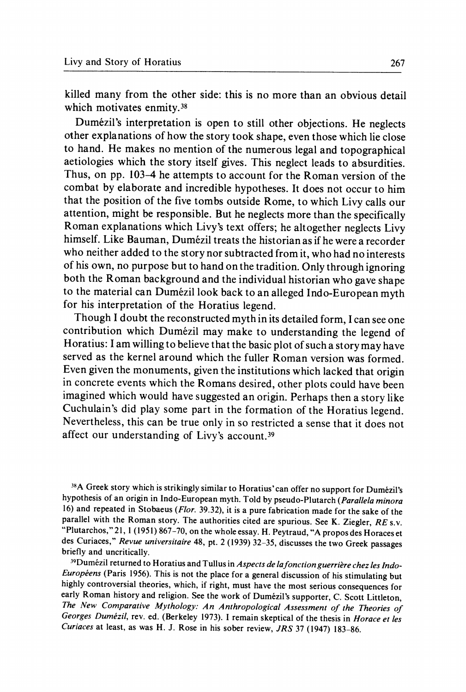**killed many from the other side: this is no more than an obvious detail which motivates enmity.38** 

**Dumezil's interpretation is open to still other objections. He neglects other explanations of how the story took shape, even those which lie close to hand. He makes no mention of the numerous legal and topographical aetiologies which the story itself gives. This neglect leads to absurdities. Thus, on pp. 103-4 he attempts to account for the Roman version of the combat by elaborate and incredible hypotheses. It does not occur to him that the position of the five tombs outside Rome, to which Livy calls our attention, might be responsible. But he neglects more than the specifically Roman explanations which Livy's text offers; he altogether neglects Livy himself. Like Bauman, Dumezil treats the historian as if he were a recorder who neither added to the story nor subtracted from it, who had no interests of his own, no purpose but to hand on the tradition. Only through ignoring both the Roman background and the individual historian who gave shape to the material can Dumezil look back to an alleged Indo-European myth for his interpretation of the Horatius legend.** 

**Though I doubt the reconstructed myth in its detailed form, I can see one contribution which Dumezil may make to understanding the legend of Horatius: I am willing to believe that the basic plot of such a story may have served as the kernel around which the fuller Roman version was formed. Even given the monuments, given the institutions which lacked that origin in concrete events which the Romans desired, other plots could have been imagined which would have suggested an origin. Perhaps then a story like Cuchulain's did play some part in the formation of the Horatius legend. Nevertheless, this can be true only in so restricted a sense that it does not affect our understanding of Livy's account.39** 

<sup>38</sup> A Greek story which is strikingly similar to Horatius' can offer no support for Dumézil's **hypothesis of an origin in Indo-European myth. Told by pseudo-Plutarch (Parallela minora 16) and repeated in Stobaeus (Flor. 39.32), it is a pure fabrication made for the sake of the parallel with the Roman story. The authorities cited are spurious. See K. Ziegler, RE s.v. "Plutarchos," 21, 1 (1951) 867-70, on the whole essay. H. Peytraud, "A propos des Horaces et des Curiaces," Revue universitaire 48, pt. 2 (1939) 32-35, discusses the two Greek passages briefly and uncritically.** 

<sup>39</sup> Dumézil returned to Horatius and Tullus in Aspects de la fonction guerrière chez les Indo-Européens (Paris 1956). This is not the place for a general discussion of his stimulating but **highly controversial theories, which, if right, must have the most serious consequences for**  early Roman history and religion. See the work of Dumézil's supporter, C. Scott Littleton, **The New Comparative Mythology: An Anthropological Assessment of the Theories of**  Georges Dumézil, rev. ed. (Berkeley 1973). I remain skeptical of the thesis in Horace et les **Curiaces at least, as was H. J. Rose in his sober review, JRS 37 (1947) 183-86.**